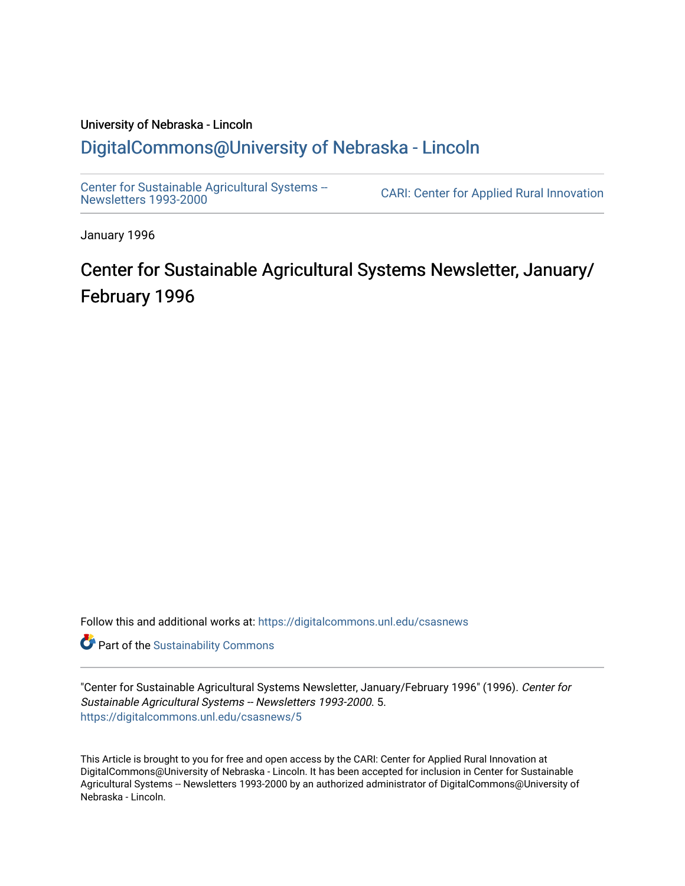# University of Nebraska - Lincoln [DigitalCommons@University of Nebraska - Lincoln](https://digitalcommons.unl.edu/)

[Center for Sustainable Agricultural Systems --](https://digitalcommons.unl.edu/csasnews)<br>Newsletters 1993-2000

CARI: Center for Applied Rural Innovation

January 1996

# Center for Sustainable Agricultural Systems Newsletter, January/ February 1996

Follow this and additional works at: [https://digitalcommons.unl.edu/csasnews](https://digitalcommons.unl.edu/csasnews?utm_source=digitalcommons.unl.edu%2Fcsasnews%2F5&utm_medium=PDF&utm_campaign=PDFCoverPages) 

**Part of the [Sustainability Commons](http://network.bepress.com/hgg/discipline/1031?utm_source=digitalcommons.unl.edu%2Fcsasnews%2F5&utm_medium=PDF&utm_campaign=PDFCoverPages)** 

"Center for Sustainable Agricultural Systems Newsletter, January/February 1996" (1996). Center for Sustainable Agricultural Systems -- Newsletters 1993-2000. 5. [https://digitalcommons.unl.edu/csasnews/5](https://digitalcommons.unl.edu/csasnews/5?utm_source=digitalcommons.unl.edu%2Fcsasnews%2F5&utm_medium=PDF&utm_campaign=PDFCoverPages) 

This Article is brought to you for free and open access by the CARI: Center for Applied Rural Innovation at DigitalCommons@University of Nebraska - Lincoln. It has been accepted for inclusion in Center for Sustainable Agricultural Systems -- Newsletters 1993-2000 by an authorized administrator of DigitalCommons@University of Nebraska - Lincoln.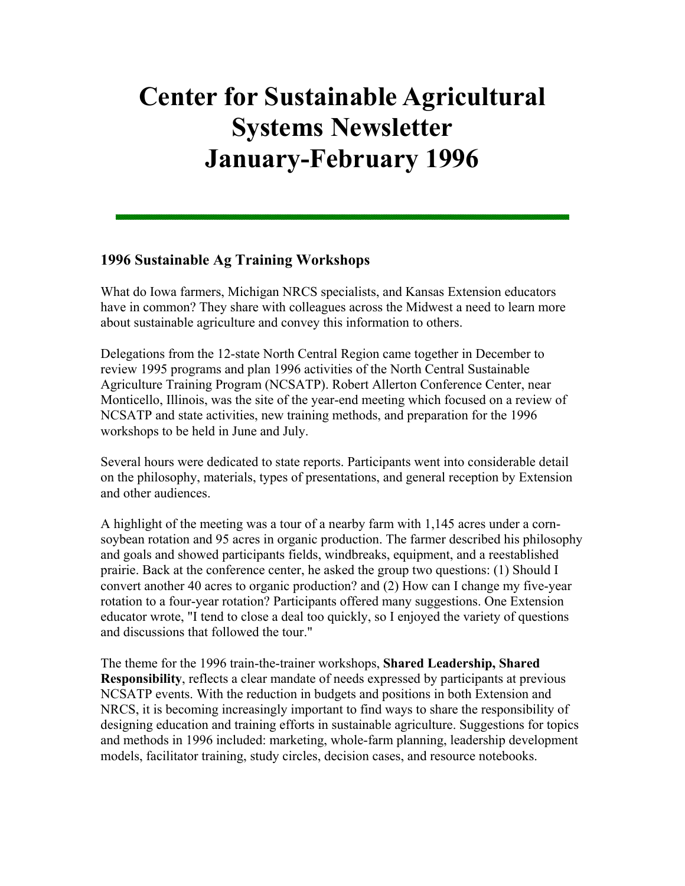# **Center for Sustainable Agricultural Systems Newsletter January-February 1996**

#### **1996 Sustainable Ag Training Workshops**

What do Iowa farmers, Michigan NRCS specialists, and Kansas Extension educators have in common? They share with colleagues across the Midwest a need to learn more about sustainable agriculture and convey this information to others.

Delegations from the 12-state North Central Region came together in December to review 1995 programs and plan 1996 activities of the North Central Sustainable Agriculture Training Program (NCSATP). Robert Allerton Conference Center, near Monticello, Illinois, was the site of the year-end meeting which focused on a review of NCSATP and state activities, new training methods, and preparation for the 1996 workshops to be held in June and July.

Several hours were dedicated to state reports. Participants went into considerable detail on the philosophy, materials, types of presentations, and general reception by Extension and other audiences.

A highlight of the meeting was a tour of a nearby farm with 1,145 acres under a cornsoybean rotation and 95 acres in organic production. The farmer described his philosophy and goals and showed participants fields, windbreaks, equipment, and a reestablished prairie. Back at the conference center, he asked the group two questions: (1) Should I convert another 40 acres to organic production? and (2) How can I change my five-year rotation to a four-year rotation? Participants offered many suggestions. One Extension educator wrote, "I tend to close a deal too quickly, so I enjoyed the variety of questions and discussions that followed the tour."

The theme for the 1996 train-the-trainer workshops, **Shared Leadership, Shared Responsibility**, reflects a clear mandate of needs expressed by participants at previous NCSATP events. With the reduction in budgets and positions in both Extension and NRCS, it is becoming increasingly important to find ways to share the responsibility of designing education and training efforts in sustainable agriculture. Suggestions for topics and methods in 1996 included: marketing, whole-farm planning, leadership development models, facilitator training, study circles, decision cases, and resource notebooks.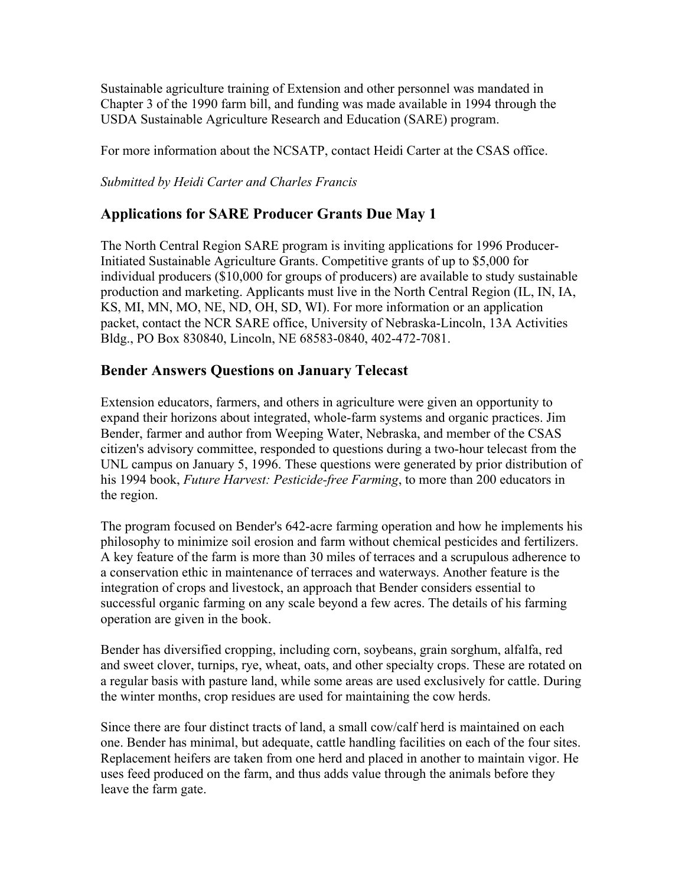Sustainable agriculture training of Extension and other personnel was mandated in Chapter 3 of the 1990 farm bill, and funding was made available in 1994 through the USDA Sustainable Agriculture Research and Education (SARE) program.

For more information about the NCSATP, contact Heidi Carter at the CSAS office.

*Submitted by Heidi Carter and Charles Francis*

# **Applications for SARE Producer Grants Due May 1**

The North Central Region SARE program is inviting applications for 1996 Producer-Initiated Sustainable Agriculture Grants. Competitive grants of up to \$5,000 for individual producers (\$10,000 for groups of producers) are available to study sustainable production and marketing. Applicants must live in the North Central Region (IL, IN, IA, KS, MI, MN, MO, NE, ND, OH, SD, WI). For more information or an application packet, contact the NCR SARE office, University of Nebraska-Lincoln, 13A Activities Bldg., PO Box 830840, Lincoln, NE 68583-0840, 402-472-7081.

#### **Bender Answers Questions on January Telecast**

Extension educators, farmers, and others in agriculture were given an opportunity to expand their horizons about integrated, whole-farm systems and organic practices. Jim Bender, farmer and author from Weeping Water, Nebraska, and member of the CSAS citizen's advisory committee, responded to questions during a two-hour telecast from the UNL campus on January 5, 1996. These questions were generated by prior distribution of his 1994 book, *Future Harvest: Pesticide-free Farming*, to more than 200 educators in the region.

The program focused on Bender's 642-acre farming operation and how he implements his philosophy to minimize soil erosion and farm without chemical pesticides and fertilizers. A key feature of the farm is more than 30 miles of terraces and a scrupulous adherence to a conservation ethic in maintenance of terraces and waterways. Another feature is the integration of crops and livestock, an approach that Bender considers essential to successful organic farming on any scale beyond a few acres. The details of his farming operation are given in the book.

Bender has diversified cropping, including corn, soybeans, grain sorghum, alfalfa, red and sweet clover, turnips, rye, wheat, oats, and other specialty crops. These are rotated on a regular basis with pasture land, while some areas are used exclusively for cattle. During the winter months, crop residues are used for maintaining the cow herds.

Since there are four distinct tracts of land, a small cow/calf herd is maintained on each one. Bender has minimal, but adequate, cattle handling facilities on each of the four sites. Replacement heifers are taken from one herd and placed in another to maintain vigor. He uses feed produced on the farm, and thus adds value through the animals before they leave the farm gate.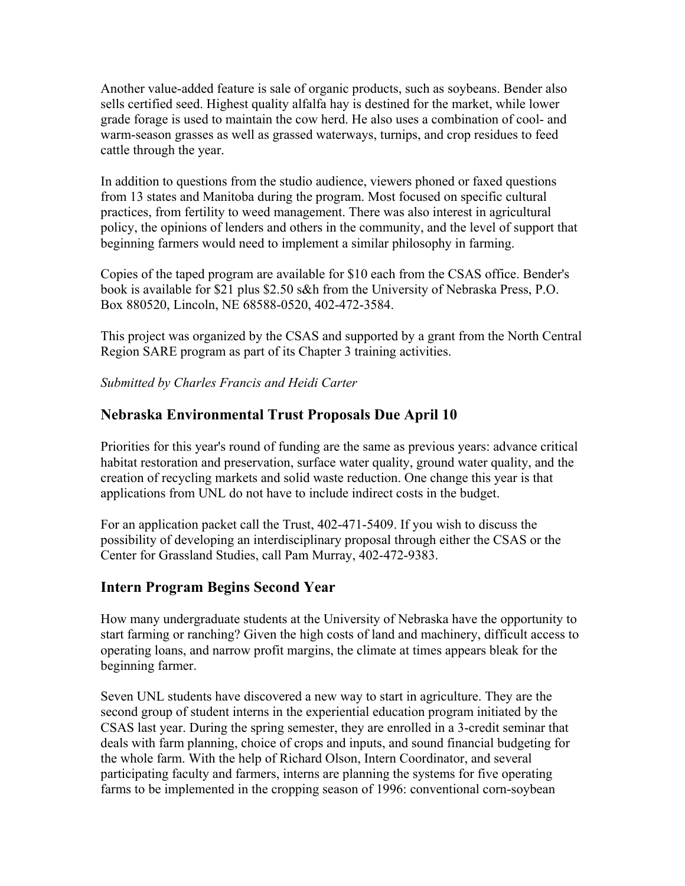Another value-added feature is sale of organic products, such as soybeans. Bender also sells certified seed. Highest quality alfalfa hay is destined for the market, while lower grade forage is used to maintain the cow herd. He also uses a combination of cool- and warm-season grasses as well as grassed waterways, turnips, and crop residues to feed cattle through the year.

In addition to questions from the studio audience, viewers phoned or faxed questions from 13 states and Manitoba during the program. Most focused on specific cultural practices, from fertility to weed management. There was also interest in agricultural policy, the opinions of lenders and others in the community, and the level of support that beginning farmers would need to implement a similar philosophy in farming.

Copies of the taped program are available for \$10 each from the CSAS office. Bender's book is available for \$21 plus \$2.50 s&h from the University of Nebraska Press, P.O. Box 880520, Lincoln, NE 68588-0520, 402-472-3584.

This project was organized by the CSAS and supported by a grant from the North Central Region SARE program as part of its Chapter 3 training activities.

*Submitted by Charles Francis and Heidi Carter*

## **Nebraska Environmental Trust Proposals Due April 10**

Priorities for this year's round of funding are the same as previous years: advance critical habitat restoration and preservation, surface water quality, ground water quality, and the creation of recycling markets and solid waste reduction. One change this year is that applications from UNL do not have to include indirect costs in the budget.

For an application packet call the Trust, 402-471-5409. If you wish to discuss the possibility of developing an interdisciplinary proposal through either the CSAS or the Center for Grassland Studies, call Pam Murray, 402-472-9383.

# **Intern Program Begins Second Year**

How many undergraduate students at the University of Nebraska have the opportunity to start farming or ranching? Given the high costs of land and machinery, difficult access to operating loans, and narrow profit margins, the climate at times appears bleak for the beginning farmer.

Seven UNL students have discovered a new way to start in agriculture. They are the second group of student interns in the experiential education program initiated by the CSAS last year. During the spring semester, they are enrolled in a 3-credit seminar that deals with farm planning, choice of crops and inputs, and sound financial budgeting for the whole farm. With the help of Richard Olson, Intern Coordinator, and several participating faculty and farmers, interns are planning the systems for five operating farms to be implemented in the cropping season of 1996: conventional corn-soybean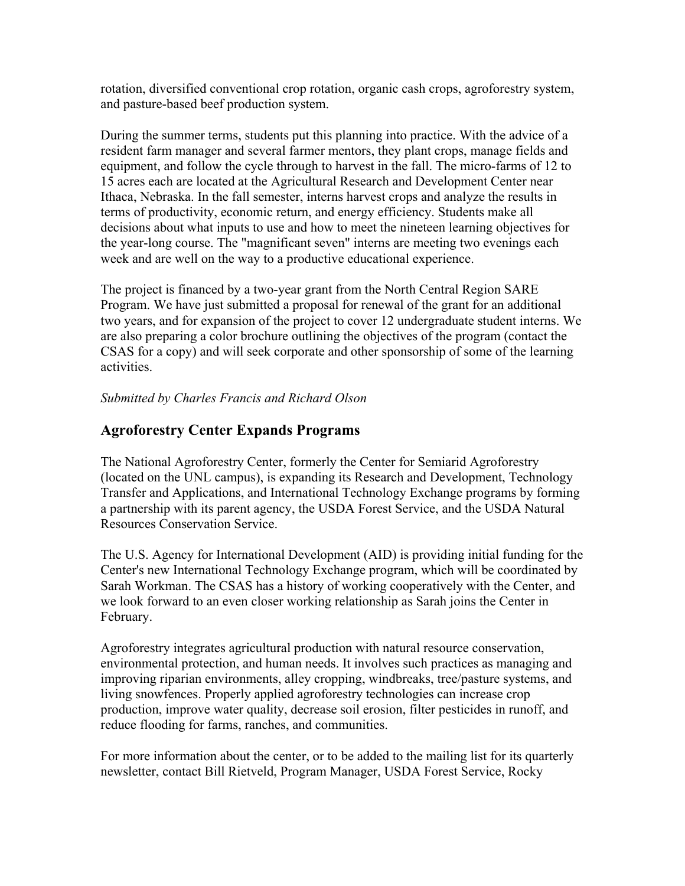rotation, diversified conventional crop rotation, organic cash crops, agroforestry system, and pasture-based beef production system.

During the summer terms, students put this planning into practice. With the advice of a resident farm manager and several farmer mentors, they plant crops, manage fields and equipment, and follow the cycle through to harvest in the fall. The micro-farms of 12 to 15 acres each are located at the Agricultural Research and Development Center near Ithaca, Nebraska. In the fall semester, interns harvest crops and analyze the results in terms of productivity, economic return, and energy efficiency. Students make all decisions about what inputs to use and how to meet the nineteen learning objectives for the year-long course. The "magnificant seven" interns are meeting two evenings each week and are well on the way to a productive educational experience.

The project is financed by a two-year grant from the North Central Region SARE Program. We have just submitted a proposal for renewal of the grant for an additional two years, and for expansion of the project to cover 12 undergraduate student interns. We are also preparing a color brochure outlining the objectives of the program (contact the CSAS for a copy) and will seek corporate and other sponsorship of some of the learning activities.

#### *Submitted by Charles Francis and Richard Olson*

#### **Agroforestry Center Expands Programs**

The National Agroforestry Center, formerly the Center for Semiarid Agroforestry (located on the UNL campus), is expanding its Research and Development, Technology Transfer and Applications, and International Technology Exchange programs by forming a partnership with its parent agency, the USDA Forest Service, and the USDA Natural Resources Conservation Service.

The U.S. Agency for International Development (AID) is providing initial funding for the Center's new International Technology Exchange program, which will be coordinated by Sarah Workman. The CSAS has a history of working cooperatively with the Center, and we look forward to an even closer working relationship as Sarah joins the Center in February.

Agroforestry integrates agricultural production with natural resource conservation, environmental protection, and human needs. It involves such practices as managing and improving riparian environments, alley cropping, windbreaks, tree/pasture systems, and living snowfences. Properly applied agroforestry technologies can increase crop production, improve water quality, decrease soil erosion, filter pesticides in runoff, and reduce flooding for farms, ranches, and communities.

For more information about the center, or to be added to the mailing list for its quarterly newsletter, contact Bill Rietveld, Program Manager, USDA Forest Service, Rocky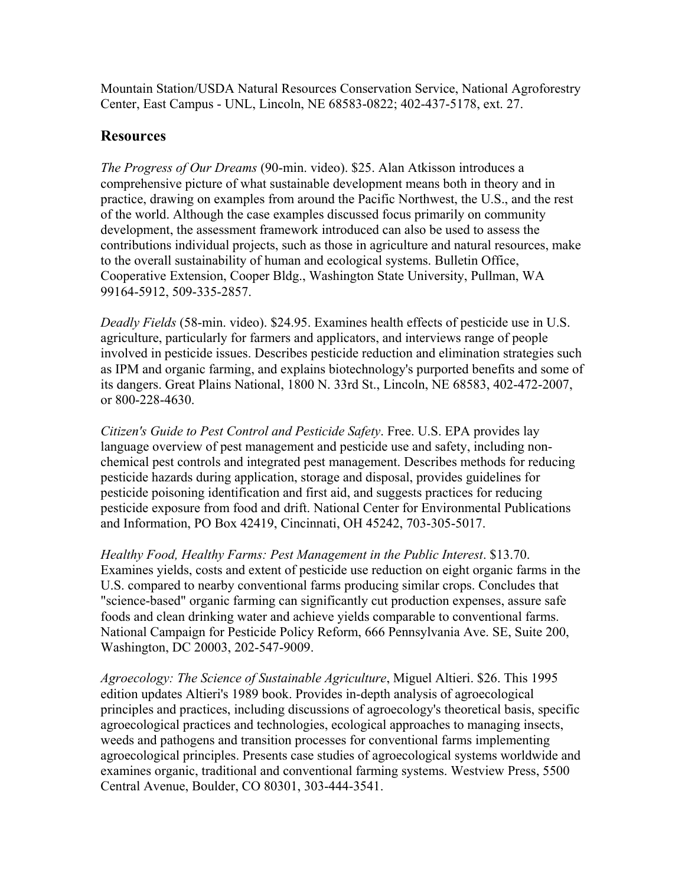Mountain Station/USDA Natural Resources Conservation Service, National Agroforestry Center, East Campus - UNL, Lincoln, NE 68583-0822; 402-437-5178, ext. 27.

#### **Resources**

*The Progress of Our Dreams* (90-min. video). \$25. Alan Atkisson introduces a comprehensive picture of what sustainable development means both in theory and in practice, drawing on examples from around the Pacific Northwest, the U.S., and the rest of the world. Although the case examples discussed focus primarily on community development, the assessment framework introduced can also be used to assess the contributions individual projects, such as those in agriculture and natural resources, make to the overall sustainability of human and ecological systems. Bulletin Office, Cooperative Extension, Cooper Bldg., Washington State University, Pullman, WA 99164-5912, 509-335-2857.

*Deadly Fields* (58-min. video). \$24.95. Examines health effects of pesticide use in U.S. agriculture, particularly for farmers and applicators, and interviews range of people involved in pesticide issues. Describes pesticide reduction and elimination strategies such as IPM and organic farming, and explains biotechnology's purported benefits and some of its dangers. Great Plains National, 1800 N. 33rd St., Lincoln, NE 68583, 402-472-2007, or 800-228-4630.

*Citizen's Guide to Pest Control and Pesticide Safety*. Free. U.S. EPA provides lay language overview of pest management and pesticide use and safety, including nonchemical pest controls and integrated pest management. Describes methods for reducing pesticide hazards during application, storage and disposal, provides guidelines for pesticide poisoning identification and first aid, and suggests practices for reducing pesticide exposure from food and drift. National Center for Environmental Publications and Information, PO Box 42419, Cincinnati, OH 45242, 703-305-5017.

*Healthy Food, Healthy Farms: Pest Management in the Public Interest*. \$13.70. Examines yields, costs and extent of pesticide use reduction on eight organic farms in the U.S. compared to nearby conventional farms producing similar crops. Concludes that "science-based" organic farming can significantly cut production expenses, assure safe foods and clean drinking water and achieve yields comparable to conventional farms. National Campaign for Pesticide Policy Reform, 666 Pennsylvania Ave. SE, Suite 200, Washington, DC 20003, 202-547-9009.

*Agroecology: The Science of Sustainable Agriculture*, Miguel Altieri. \$26. This 1995 edition updates Altieri's 1989 book. Provides in-depth analysis of agroecological principles and practices, including discussions of agroecology's theoretical basis, specific agroecological practices and technologies, ecological approaches to managing insects, weeds and pathogens and transition processes for conventional farms implementing agroecological principles. Presents case studies of agroecological systems worldwide and examines organic, traditional and conventional farming systems. Westview Press, 5500 Central Avenue, Boulder, CO 80301, 303-444-3541.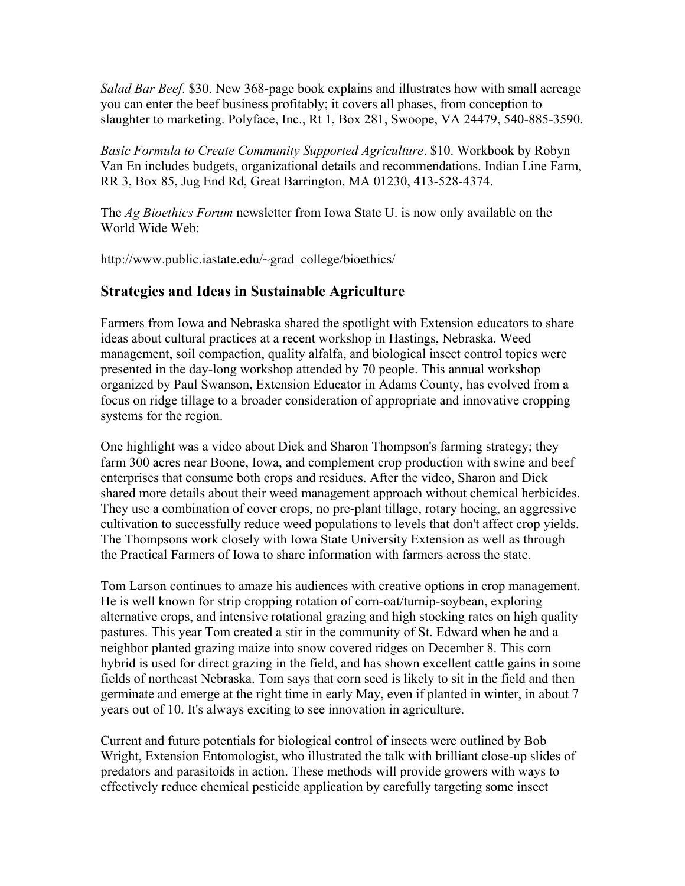*Salad Bar Beef*. \$30. New 368-page book explains and illustrates how with small acreage you can enter the beef business profitably; it covers all phases, from conception to slaughter to marketing. Polyface, Inc., Rt 1, Box 281, Swoope, VA 24479, 540-885-3590.

*Basic Formula to Create Community Supported Agriculture*. \$10. Workbook by Robyn Van En includes budgets, organizational details and recommendations. Indian Line Farm, RR 3, Box 85, Jug End Rd, Great Barrington, MA 01230, 413-528-4374.

The *Ag Bioethics Forum* newsletter from Iowa State U. is now only available on the World Wide Web:

http://www.public.iastate.edu/~grad\_college/bioethics/

## **Strategies and Ideas in Sustainable Agriculture**

Farmers from Iowa and Nebraska shared the spotlight with Extension educators to share ideas about cultural practices at a recent workshop in Hastings, Nebraska. Weed management, soil compaction, quality alfalfa, and biological insect control topics were presented in the day-long workshop attended by 70 people. This annual workshop organized by Paul Swanson, Extension Educator in Adams County, has evolved from a focus on ridge tillage to a broader consideration of appropriate and innovative cropping systems for the region.

One highlight was a video about Dick and Sharon Thompson's farming strategy; they farm 300 acres near Boone, Iowa, and complement crop production with swine and beef enterprises that consume both crops and residues. After the video, Sharon and Dick shared more details about their weed management approach without chemical herbicides. They use a combination of cover crops, no pre-plant tillage, rotary hoeing, an aggressive cultivation to successfully reduce weed populations to levels that don't affect crop yields. The Thompsons work closely with Iowa State University Extension as well as through the Practical Farmers of Iowa to share information with farmers across the state.

Tom Larson continues to amaze his audiences with creative options in crop management. He is well known for strip cropping rotation of corn-oat/turnip-soybean, exploring alternative crops, and intensive rotational grazing and high stocking rates on high quality pastures. This year Tom created a stir in the community of St. Edward when he and a neighbor planted grazing maize into snow covered ridges on December 8. This corn hybrid is used for direct grazing in the field, and has shown excellent cattle gains in some fields of northeast Nebraska. Tom says that corn seed is likely to sit in the field and then germinate and emerge at the right time in early May, even if planted in winter, in about 7 years out of 10. It's always exciting to see innovation in agriculture.

Current and future potentials for biological control of insects were outlined by Bob Wright, Extension Entomologist, who illustrated the talk with brilliant close-up slides of predators and parasitoids in action. These methods will provide growers with ways to effectively reduce chemical pesticide application by carefully targeting some insect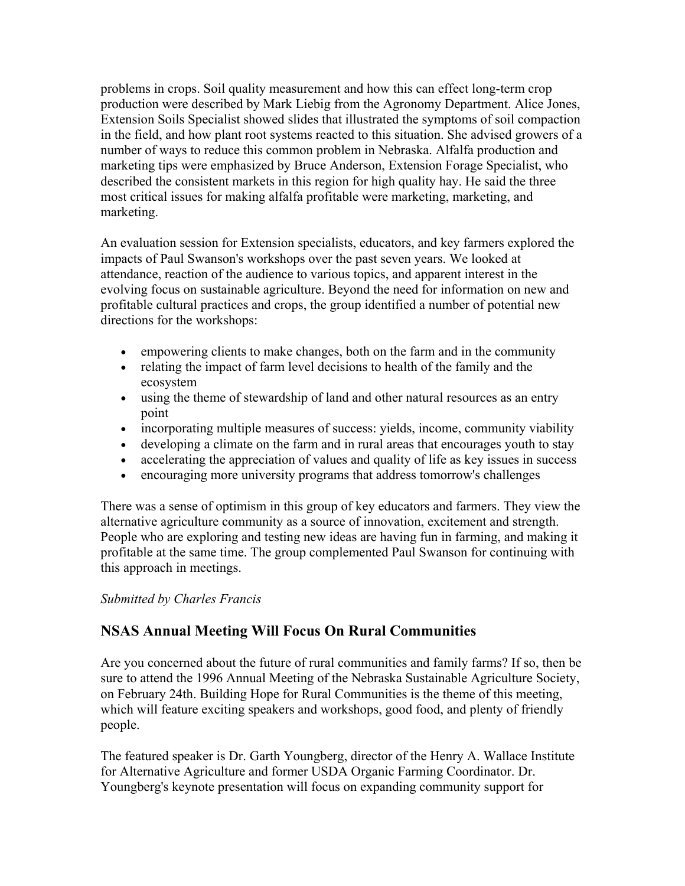problems in crops. Soil quality measurement and how this can effect long-term crop production were described by Mark Liebig from the Agronomy Department. Alice Jones, Extension Soils Specialist showed slides that illustrated the symptoms of soil compaction in the field, and how plant root systems reacted to this situation. She advised growers of a number of ways to reduce this common problem in Nebraska. Alfalfa production and marketing tips were emphasized by Bruce Anderson, Extension Forage Specialist, who described the consistent markets in this region for high quality hay. He said the three most critical issues for making alfalfa profitable were marketing, marketing, and marketing.

An evaluation session for Extension specialists, educators, and key farmers explored the impacts of Paul Swanson's workshops over the past seven years. We looked at attendance, reaction of the audience to various topics, and apparent interest in the evolving focus on sustainable agriculture. Beyond the need for information on new and profitable cultural practices and crops, the group identified a number of potential new directions for the workshops:

- empowering clients to make changes, both on the farm and in the community
- relating the impact of farm level decisions to health of the family and the ecosystem
- using the theme of stewardship of land and other natural resources as an entry point
- incorporating multiple measures of success: yields, income, community viability
- developing a climate on the farm and in rural areas that encourages youth to stay
- accelerating the appreciation of values and quality of life as key issues in success
- encouraging more university programs that address tomorrow's challenges

There was a sense of optimism in this group of key educators and farmers. They view the alternative agriculture community as a source of innovation, excitement and strength. People who are exploring and testing new ideas are having fun in farming, and making it profitable at the same time. The group complemented Paul Swanson for continuing with this approach in meetings.

#### *Submitted by Charles Francis*

# **NSAS Annual Meeting Will Focus On Rural Communities**

Are you concerned about the future of rural communities and family farms? If so, then be sure to attend the 1996 Annual Meeting of the Nebraska Sustainable Agriculture Society, on February 24th. Building Hope for Rural Communities is the theme of this meeting, which will feature exciting speakers and workshops, good food, and plenty of friendly people.

The featured speaker is Dr. Garth Youngberg, director of the Henry A. Wallace Institute for Alternative Agriculture and former USDA Organic Farming Coordinator. Dr. Youngberg's keynote presentation will focus on expanding community support for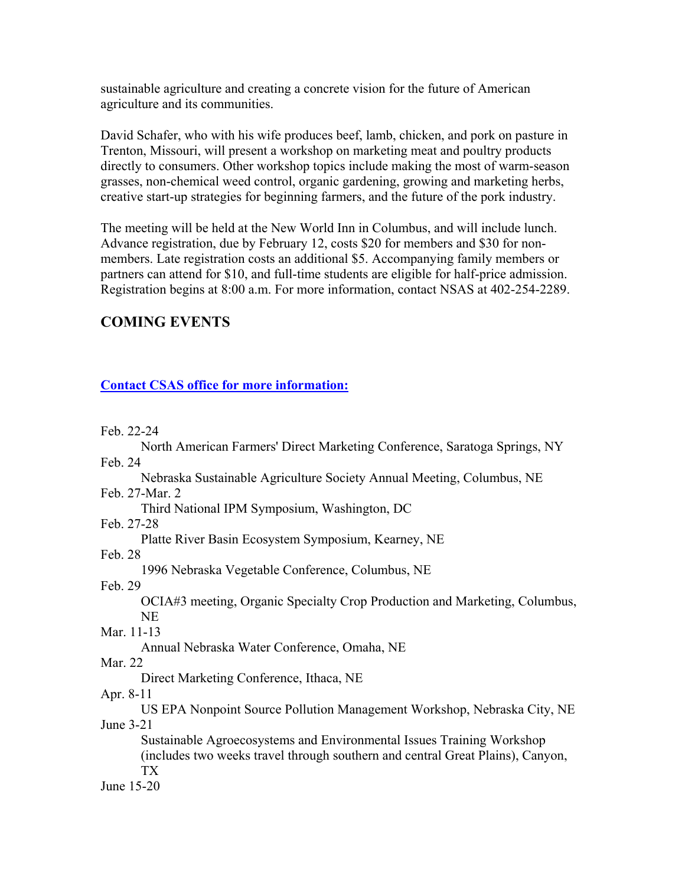sustainable agriculture and creating a concrete vision for the future of American agriculture and its communities.

David Schafer, who with his wife produces beef, lamb, chicken, and pork on pasture in Trenton, Missouri, will present a workshop on marketing meat and poultry products directly to consumers. Other workshop topics include making the most of warm-season grasses, non-chemical weed control, organic gardening, growing and marketing herbs, creative start-up strategies for beginning farmers, and the future of the pork industry.

The meeting will be held at the New World Inn in Columbus, and will include lunch. Advance registration, due by February 12, costs \$20 for members and \$30 for nonmembers. Late registration costs an additional \$5. Accompanying family members or partners can attend for \$10, and full-time students are eligible for half-price admission. Registration begins at 8:00 a.m. For more information, contact NSAS at 402-254-2289.

#### **COMING EVENTS**

#### **Contact CSAS office for more information:**

Feb. 22-24

| North American Farmers' Direct Marketing Conference, Saratoga Springs, NY                                                                                            |
|----------------------------------------------------------------------------------------------------------------------------------------------------------------------|
| Feb. 24                                                                                                                                                              |
| Nebraska Sustainable Agriculture Society Annual Meeting, Columbus, NE                                                                                                |
| Feb. 27-Mar. 2                                                                                                                                                       |
| Third National IPM Symposium, Washington, DC                                                                                                                         |
| Feb. 27-28                                                                                                                                                           |
| Platte River Basin Ecosystem Symposium, Kearney, NE                                                                                                                  |
| Feb. 28                                                                                                                                                              |
| 1996 Nebraska Vegetable Conference, Columbus, NE                                                                                                                     |
| Feb 29                                                                                                                                                               |
| OCIA#3 meeting, Organic Specialty Crop Production and Marketing, Columbus,                                                                                           |
| <b>NE</b>                                                                                                                                                            |
| Mar. 11-13                                                                                                                                                           |
| Annual Nebraska Water Conference, Omaha, NE                                                                                                                          |
| Mar. 22                                                                                                                                                              |
| Direct Marketing Conference, Ithaca, NE                                                                                                                              |
| Apr. 8-11                                                                                                                                                            |
| US EPA Nonpoint Source Pollution Management Workshop, Nebraska City, NE                                                                                              |
| June 3-21                                                                                                                                                            |
| Sustainable Agroecosystems and Environmental Issues Training Workshop<br>(includes two weeks travel through southern and central Great Plains), Canyon,<br><b>TX</b> |
| June 15-20                                                                                                                                                           |
|                                                                                                                                                                      |
|                                                                                                                                                                      |